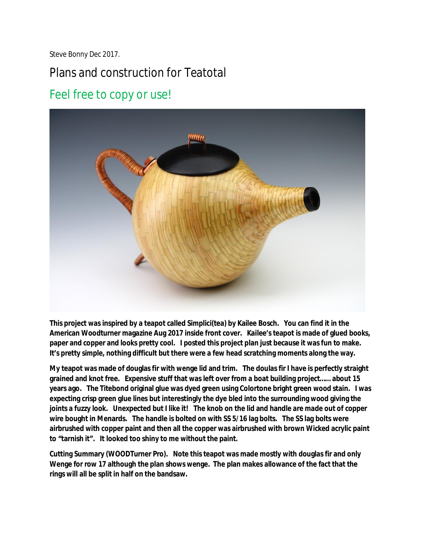Steve Bonny Dec 2017.

## Plans and construction for Teatotal

## Feel free to copy or use!



**This project was inspired by a teapot called Simplici(tea) by Kailee Bosch. You can find it in the American Woodturner magazine Aug 2017 inside front cover. Kailee's teapot is made of glued books, paper and copper and looks pretty cool. I posted this project plan just because it was fun to make. It's pretty simple, nothing difficult but there were a few head scratching moments along the way.**

**My teapot was made of douglas fir with wenge lid and trim. The doulas fir I have is perfectly straight grained and knot free. Expensive stuff that was left over from a boat building project…… about 15 years ago. The Titebond original glue was dyed green using Colortone bright green wood stain. I was expecting crisp green glue lines but interestingly the dye bled into the surrounding wood giving the joints a fuzzy look. Unexpected but I like it! The knob on the lid and handle are made out of copper wire bought in Menards. The handle is bolted on with SS 5/16 lag bolts. The SS lag bolts were airbrushed with copper paint and then all the copper was airbrushed with brown Wicked acrylic paint to "tarnish it". It looked too shiny to me without the paint.**

**Cutting Summary (WOODTurner Pro). Note this teapot was made mostly with douglas fir and only Wenge for row 17 although the plan shows wenge. The plan makes allowance of the fact that the rings will all be split in half on the bandsaw.**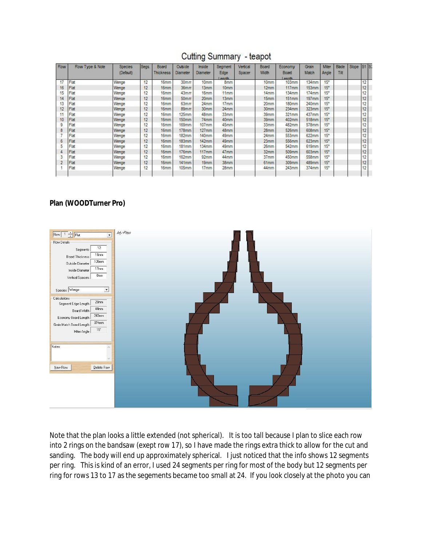## Cutting Summary - teapot

| Row            | Row Type & Note | Species<br>(Default) | Segs. | Board<br>Thickness | Outside<br><b>Diameter</b> | Inside<br><b>Diameter</b> | Segment<br>Edge<br>ennin | Vertical<br>Spacer | Board<br>Width   | Economy<br>Board<br>ennin | Grain<br>Match      | Miter:<br>Angle | <b>Blade</b><br>Tit | Slope | S1 S |  |
|----------------|-----------------|----------------------|-------|--------------------|----------------------------|---------------------------|--------------------------|--------------------|------------------|---------------------------|---------------------|-----------------|---------------------|-------|------|--|
| 17             | Flat            | Wenge                | 12    | 16mm               | 30 <sub>mm</sub>           | 10 <sub>mm</sub>          | 8 <sub>mm</sub>          |                    | 10mm             | 103mm                     | 134mm               | 15°             |                     |       | 12   |  |
| 16             | Flat            | Wenge                | 12    | 16mm               | 36mm                       | 13mm                      | 10mm                     |                    | 12mm             | 117mm                     | 153mm               | 15 <sup>o</sup> |                     |       | 12   |  |
| 15             | Flat            | Wenge                | 12    | 16mm               | 43mm                       | 16mm                      | 11mm                     |                    | 14mm             | $134$ mm                  | $174$ mm            | 15 <sup>o</sup> |                     |       |      |  |
| 14             | Flat            | Wenge                | 12    | 16 <sub>mm</sub>   | 50 <sub>mm</sub>           | 20mm                      | 13mm                     |                    | 15mm             | 151mm                     | $197$ <sub>mm</sub> | 15°             |                     |       | 12   |  |
| 13             | Flat            | Wenge                | 12    | $16$ mm            | 63mm                       | 24 <sub>mm</sub>          | 17 <sub>mm</sub>         |                    | 20mm             | 180mm                     | 240mm               | 15 <sup>o</sup> |                     |       | 12   |  |
| 12             | Flat            | Wenge                | 12    | 16mm               | 89mm                       | 30mm                      | 24mm                     |                    | 30 <sub>mm</sub> | 234mm                     | 323mm               | 15°             |                     |       | 12   |  |
| 11             | Flat            | Wenge                | 12    | 16mm               | 125mm                      | 48mm                      | 33mm                     |                    | 39mm             | 321mm                     | 437mm               | 15*             |                     |       |      |  |
| 10             | Flat            | Wenge                | 12    | 16 <sub>mm</sub>   | 150mm                      | 74mm                      | 40mm                     |                    | 39mm             | 402mm                     | 518mm               | 15 <sup>o</sup> |                     |       | 12   |  |
| 9              | Flat            | Wenge                | 12    | 16 <sub>mm</sub>   | 169mm                      | 107mm                     | 45mm                     |                    | 33mm             | 482mm                     | 578mm               | 15 <sup>o</sup> |                     |       | 12   |  |
| 8              | Flat            | Wenge                | 12    | 16mm               | $178$ mm                   | $127$ mm                  | 48mm                     |                    | 28 <sub>mm</sub> | 526mm                     | 608mm               | 15°             |                     |       | 12   |  |
|                | Flat            | Wenge                | 12    | 16 <sub>mm</sub>   | 182mm                      | 140mm                     | 49mm                     |                    | 24mm             | 553mm                     | 622mm               | 15 <sup>o</sup> |                     |       | 12   |  |
| 6              | Flat            | Wenge                | 12    | 16mm               | 183mm                      | 142mm                     | 49mm                     |                    | 23mm             | 556mm                     | 623mm               | 15 <sup>o</sup> |                     |       | 12   |  |
| 5              | Flat            | Wenge                | 12    | 16mm               | $181$ <sub>mm</sub>        | 134mm                     | 49mm                     |                    | 26mm             | 542mm                     | 619mm               | 15 <sup>o</sup> |                     |       |      |  |
| 4              | Flat            | Wenge                | 12    | 16mm               | $176$ mm                   | $117$ mm                  | 47 <sub>mm</sub>         |                    | 32mm             | 509mm                     | 603mm               | 15 <sup>o</sup> |                     |       | 12   |  |
| 3              | Flat            | Wenge                | 12    | 16mm               | 162mm                      | 92mm                      | 44mm                     |                    | 37 <sub>mm</sub> | 450mm                     | 558mm               | 15 <sup>o</sup> |                     |       | 12   |  |
| $\overline{2}$ | Flat            | Wenge                | 12    | 16 <sub>mm</sub>   | 141mm                      | 19mm                      | 38 <sub>mm</sub>         |                    | 61mm             | 309mm                     | 489mm               | 15°             |                     |       | 12   |  |
|                | Flat            | Wenge                | 12    | 16mm               | $105$ mm                   | 17 <sub>mm</sub>          | 28 <sub>mm</sub>         |                    | 44mm             | 243mm                     | 374mm               | 15 <sup>°</sup> |                     |       | 12   |  |

## **Plan (WOODTurner Pro)**



Note that the plan looks a little extended (not spherical). It is too tall because I plan to slice each row into 2 rings on the bandsaw (exept row 17), so I have made the rings extra thick to allow for the cut and sanding. The body will end up approximately spherical. I just noticed that the info shows 12 segments per ring. This is kind of an error, I used 24 segments per ring for most of the body but 12 segments per ring for rows 13 to 17 as the segements became too small at 24. If you look closely at the photo you can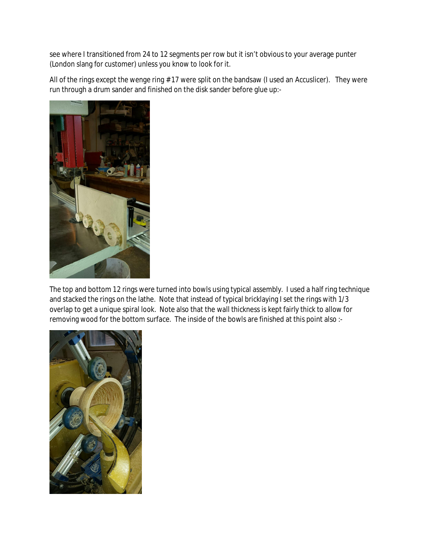see where I transitioned from 24 to 12 segments per row but it isn't obvious to your average punter (London slang for customer) unless you know to look for it.

All of the rings except the wenge ring # 17 were split on the bandsaw (I used an Accuslicer). They were run through a drum sander and finished on the disk sander before glue up:-



The top and bottom 12 rings were turned into bowls using typical assembly. I used a half ring technique and stacked the rings on the lathe. Note that instead of typical bricklaying I set the rings with 1/3 overlap to get a unique spiral look. Note also that the wall thickness is kept fairly thick to allow for removing wood for the bottom surface. The inside of the bowls are finished at this point also :-

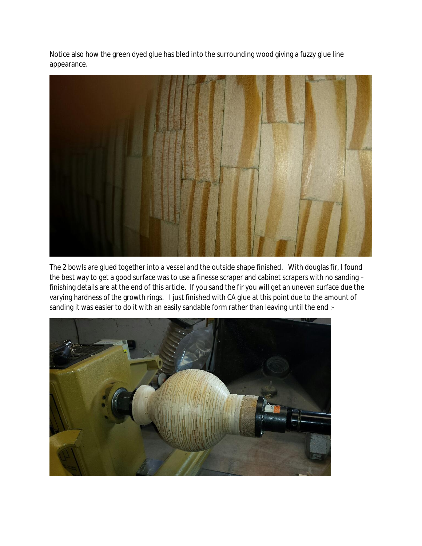Notice also how the green dyed glue has bled into the surrounding wood giving a fuzzy glue line appearance.



The 2 bowls are glued together into a vessel and the outside shape finished. With douglas fir, I found the best way to get a good surface was to use a finesse scraper and cabinet scrapers with no sanding – finishing details are at the end of this article. If you sand the fir you will get an uneven surface due the varying hardness of the growth rings. I just finished with CA glue at this point due to the amount of sanding it was easier to do it with an easily sandable form rather than leaving until the end :-

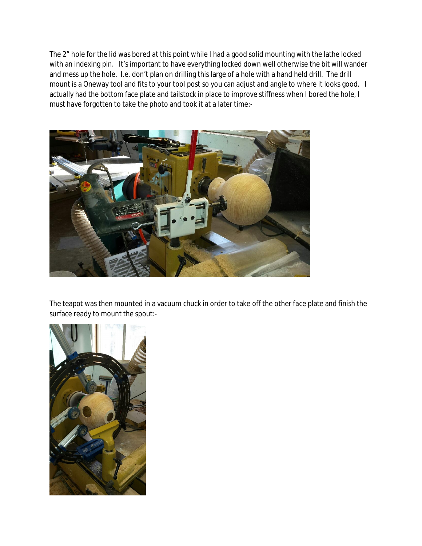The 2" hole for the lid was bored at this point while I had a good solid mounting with the lathe locked with an indexing pin. It's important to have everything locked down well otherwise the bit will wander and mess up the hole. I.e. don't plan on drilling this large of a hole with a hand held drill. The drill mount is a Oneway tool and fits to your tool post so you can adjust and angle to where it looks good. I actually had the bottom face plate and tailstock in place to improve stiffness when I bored the hole, I must have forgotten to take the photo and took it at a later time:-



The teapot was then mounted in a vacuum chuck in order to take off the other face plate and finish the surface ready to mount the spout:-

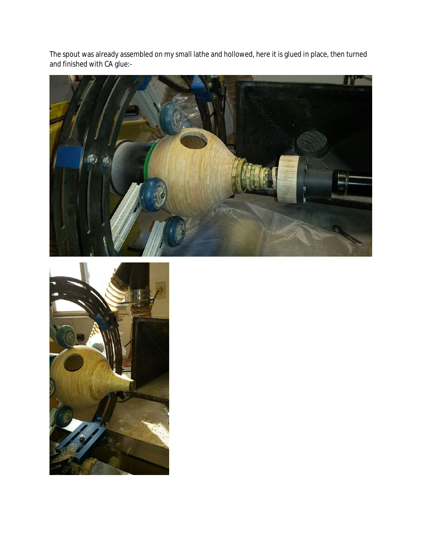The spout was already assembled on my small lathe and hollowed, here it is glued in place, then turned and finished with CA glue:-



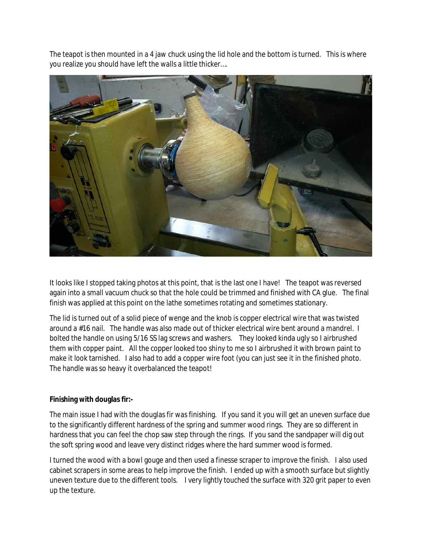The teapot is then mounted in a 4 jaw chuck using the lid hole and the bottom is turned. This is where you realize you should have left the walls a little thicker….



It looks like I stopped taking photos at this point, that is the last one I have! The teapot was reversed again into a small vacuum chuck so that the hole could be trimmed and finished with CA glue. The final finish was applied at this point on the lathe sometimes rotating and sometimes stationary.

The lid is turned out of a solid piece of wenge and the knob is copper electrical wire that was twisted around a #16 nail. The handle was also made out of thicker electrical wire bent around a mandrel. I bolted the handle on using 5/16 SS lag screws and washers. They looked kinda ugly so I airbrushed them with copper paint. All the copper looked too shiny to me so I airbrushed it with brown paint to make it look tarnished. I also had to add a copper wire foot (you can just see it in the finished photo. The handle was so heavy it overbalanced the teapot!

**Finishing with douglas fir:-**

The main issue I had with the douglas fir was finishing. If you sand it you will get an uneven surface due to the significantly different hardness of the spring and summer wood rings. They are so different in hardness that you can feel the chop saw step through the rings. If you sand the sandpaper will dig out the soft spring wood and leave very distinct ridges where the hard summer wood is formed.

I turned the wood with a bowl gouge and then used a finesse scraper to improve the finish. I also used cabinet scrapers in some areas to help improve the finish. I ended up with a smooth surface but slightly uneven texture due to the different tools. I very lightly touched the surface with 320 grit paper to even up the texture.